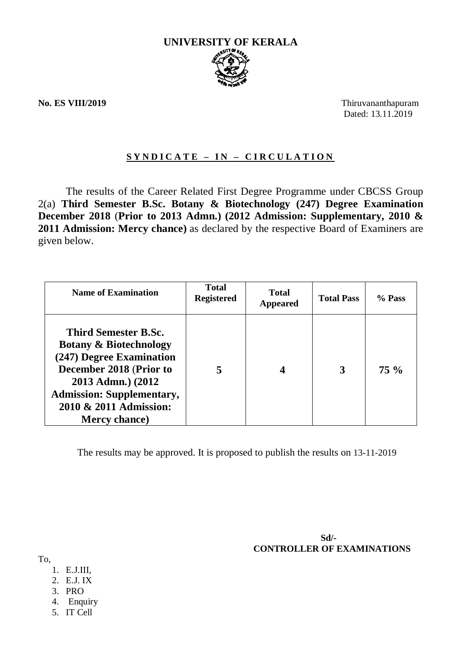

**No. ES VIII/2019** Thiruvananthapuram Dated: 13.11.2019

# **S Y N D I C A T E – I N – C I R C U L A T I O N**

The results of the Career Related First Degree Programme under CBCSS Group 2(a) **Third Semester B.Sc. Botany & Biotechnology (247) Degree Examination December 2018** (**Prior to 2013 Admn.) (2012 Admission: Supplementary, 2010 & 2011 Admission: Mercy chance)** as declared by the respective Board of Examiners are given below.

| <b>Name of Examination</b>                                                                                                                                                                                                          | <b>Total</b><br><b>Registered</b> | <b>Total</b><br><b>Appeared</b> | <b>Total Pass</b> | % Pass |
|-------------------------------------------------------------------------------------------------------------------------------------------------------------------------------------------------------------------------------------|-----------------------------------|---------------------------------|-------------------|--------|
| <b>Third Semester B.Sc.</b><br><b>Botany &amp; Biotechnology</b><br>(247) Degree Examination<br>December 2018 (Prior to<br>2013 Admn.) (2012<br><b>Admission: Supplementary,</b><br>2010 & 2011 Admission:<br><b>Mercy chance</b> ) | 5                                 |                                 | 3                 | $75\%$ |

The results may be approved. It is proposed to publish the results on 13-11-2019

 **Sd/- CONTROLLER OF EXAMINATIONS**

To,

- 1. E.J.III,
- 2. E.J. IX
- 3. PRO
- 4. Enquiry
- 5. IT Cell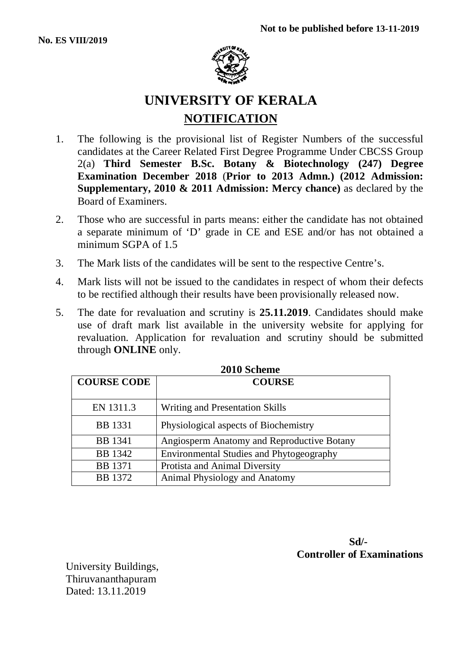

# **UNIVERSITY OF KERALA NOTIFICATION**

- 1. The following is the provisional list of Register Numbers of the successful candidates at the Career Related First Degree Programme Under CBCSS Group 2(a) **Third Semester B.Sc. Botany & Biotechnology (247) Degree Examination December 2018** (**Prior to 2013 Admn.) (2012 Admission: Supplementary, 2010 & 2011 Admission: Mercy chance)** as declared by the Board of Examiners.
- 2. Those who are successful in parts means: either the candidate has not obtained a separate minimum of 'D' grade in CE and ESE and/or has not obtained a minimum SGPA of 1.5
- 3. The Mark lists of the candidates will be sent to the respective Centre's.
- 4. Mark lists will not be issued to the candidates in respect of whom their defects to be rectified although their results have been provisionally released now.
- 5. The date for revaluation and scrutiny is **25.11.2019**. Candidates should make use of draft mark list available in the university website for applying for revaluation. Application for revaluation and scrutiny should be submitted through **ONLINE** only.

| ZVIV DURHIR        |                                            |  |
|--------------------|--------------------------------------------|--|
| <b>COURSE CODE</b> | <b>COURSE</b>                              |  |
| EN 1311.3          | Writing and Presentation Skills            |  |
| <b>BB</b> 1331     | Physiological aspects of Biochemistry      |  |
| <b>BB</b> 1341     | Angiosperm Anatomy and Reproductive Botany |  |
| <b>BB</b> 1342     | Environmental Studies and Phytogeography   |  |
| <b>BB</b> 1371     | Protista and Animal Diversity              |  |
| <b>BB</b> 1372     | Animal Physiology and Anatomy              |  |

|  | <b>2010 Scheme</b> |
|--|--------------------|
|--|--------------------|

 **Sd/- Controller of Examinations**

University Buildings, Thiruvananthapuram Dated: 13.11.2019